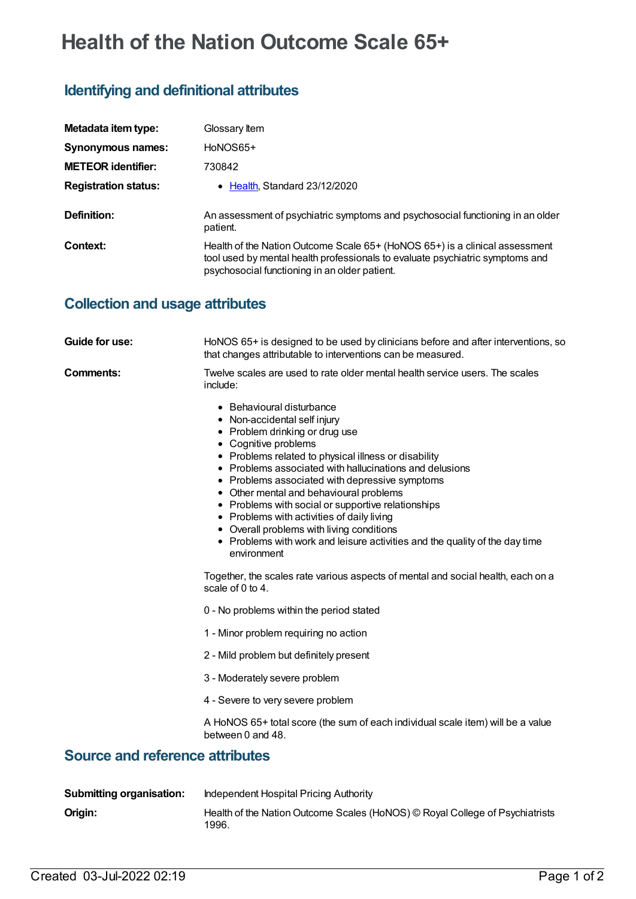# **Health of the Nation Outcome Scale 65+**

# **Identifying and definitional attributes**

| Metadata item type:         | Glossary Item                                                                                                                                                                                                 |
|-----------------------------|---------------------------------------------------------------------------------------------------------------------------------------------------------------------------------------------------------------|
| <b>Synonymous names:</b>    | HoNOS65+                                                                                                                                                                                                      |
| <b>METEOR identifier:</b>   | 730842                                                                                                                                                                                                        |
| <b>Registration status:</b> | $\bullet$ Health, Standard 23/12/2020                                                                                                                                                                         |
| Definition:                 | An assessment of psychiatric symptoms and psychosocial functioning in an older<br>patient.                                                                                                                    |
| Context:                    | Health of the Nation Outcome Scale 65+ (HoNOS 65+) is a clinical assessment<br>tool used by mental health professionals to evaluate psychiatric symptoms and<br>psychosocial functioning in an older patient. |

### **Collection and usage attributes**

| <b>Guide for use:</b>                  | HoNOS 65+ is designed to be used by clinicians before and after interventions, so<br>that changes attributable to interventions can be measured.                                                                                                                                                                                                                                                                                                                                                                                                                                   |  |
|----------------------------------------|------------------------------------------------------------------------------------------------------------------------------------------------------------------------------------------------------------------------------------------------------------------------------------------------------------------------------------------------------------------------------------------------------------------------------------------------------------------------------------------------------------------------------------------------------------------------------------|--|
| <b>Comments:</b>                       | Twelve scales are used to rate older mental health service users. The scales<br>include:                                                                                                                                                                                                                                                                                                                                                                                                                                                                                           |  |
|                                        | • Behavioural disturbance<br>• Non-accidental self injury<br>• Problem drinking or drug use<br>• Cognitive problems<br>• Problems related to physical illness or disability<br>• Problems associated with hallucinations and delusions<br>• Problems associated with depressive symptoms<br>• Other mental and behavioural problems<br>• Problems with social or supportive relationships<br>• Problems with activities of daily living<br>• Overall problems with living conditions<br>• Problems with work and leisure activities and the quality of the day time<br>environment |  |
|                                        | Together, the scales rate various aspects of mental and social health, each on a<br>scale of 0 to 4.                                                                                                                                                                                                                                                                                                                                                                                                                                                                               |  |
|                                        | 0 - No problems within the period stated                                                                                                                                                                                                                                                                                                                                                                                                                                                                                                                                           |  |
|                                        | 1 - Minor problem requiring no action                                                                                                                                                                                                                                                                                                                                                                                                                                                                                                                                              |  |
|                                        | 2 - Mild problem but definitely present                                                                                                                                                                                                                                                                                                                                                                                                                                                                                                                                            |  |
|                                        | 3 - Moderately severe problem                                                                                                                                                                                                                                                                                                                                                                                                                                                                                                                                                      |  |
|                                        | 4 - Severe to very severe problem                                                                                                                                                                                                                                                                                                                                                                                                                                                                                                                                                  |  |
|                                        | A HoNOS 65+ total score (the sum of each individual scale item) will be a value<br>between 0 and 48.                                                                                                                                                                                                                                                                                                                                                                                                                                                                               |  |
| <b>Source and reference attributes</b> |                                                                                                                                                                                                                                                                                                                                                                                                                                                                                                                                                                                    |  |

#### **Submitting organisation:** Independent Hospital Pricing Authority **Origin:** Health of the Nation Outcome Scales (HoNOS) © Royal College of Psychiatrists 1996.